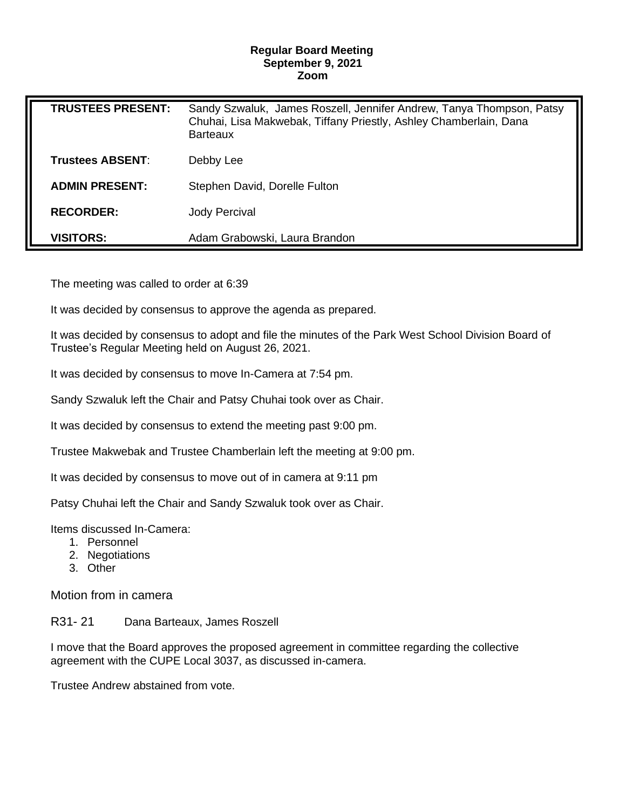## **Regular Board Meeting September 9, 2021 Zoom**

| <b>TRUSTEES PRESENT:</b> | Sandy Szwaluk, James Roszell, Jennifer Andrew, Tanya Thompson, Patsy<br>Chuhai, Lisa Makwebak, Tiffany Priestly, Ashley Chamberlain, Dana<br><b>Barteaux</b> |
|--------------------------|--------------------------------------------------------------------------------------------------------------------------------------------------------------|
| <b>Trustees ABSENT:</b>  | Debby Lee                                                                                                                                                    |
| <b>ADMIN PRESENT:</b>    | Stephen David, Dorelle Fulton                                                                                                                                |
| <b>RECORDER:</b>         | <b>Jody Percival</b>                                                                                                                                         |
| <b>VISITORS:</b>         | Adam Grabowski, Laura Brandon                                                                                                                                |

The meeting was called to order at 6:39

It was decided by consensus to approve the agenda as prepared.

It was decided by consensus to adopt and file the minutes of the Park West School Division Board of Trustee's Regular Meeting held on August 26, 2021.

It was decided by consensus to move In-Camera at 7:54 pm.

Sandy Szwaluk left the Chair and Patsy Chuhai took over as Chair.

It was decided by consensus to extend the meeting past 9:00 pm.

Trustee Makwebak and Trustee Chamberlain left the meeting at 9:00 pm.

It was decided by consensus to move out of in camera at 9:11 pm

Patsy Chuhai left the Chair and Sandy Szwaluk took over as Chair.

Items discussed In-Camera:

- 1. Personnel
- 2. Negotiations
- 3. Other

Motion from in camera

R31- 21 Dana Barteaux, James Roszell

I move that the Board approves the proposed agreement in committee regarding the collective agreement with the CUPE Local 3037, as discussed in-camera.

Trustee Andrew abstained from vote.